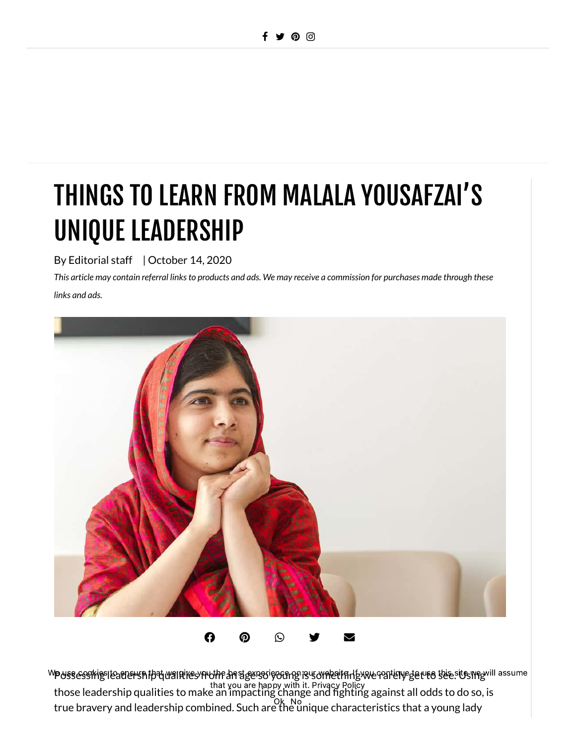# THINGS TO LEARN FROM MALALA YOUSAFZAI'S UNIQUE LEADERSHIP

By Editorial staff | October 14, 2020

This article may contain referral links to products and ads. We may receive a commission for purchases made through these *links and ads.*



 $\mathbf{\Omega} \quad \mathbf{\Omega} \quad \mathbf{\Omega} \quad \mathbf{\Omega}$ 

PUSSESSING leadership qualities from af age so young is something we raitily get to see. Using " those leadership qualities to make an impacting change and fighting against all odds to do so, is true bravery and leadership combined. Such are the unique characteristics that a young lady W**o** use cookies to ensure that we give you the best experience on our website. It you continue to use it a we will assume that you are happy with it. [Privacy](https://vbchange.com/privacy-policy/) Policy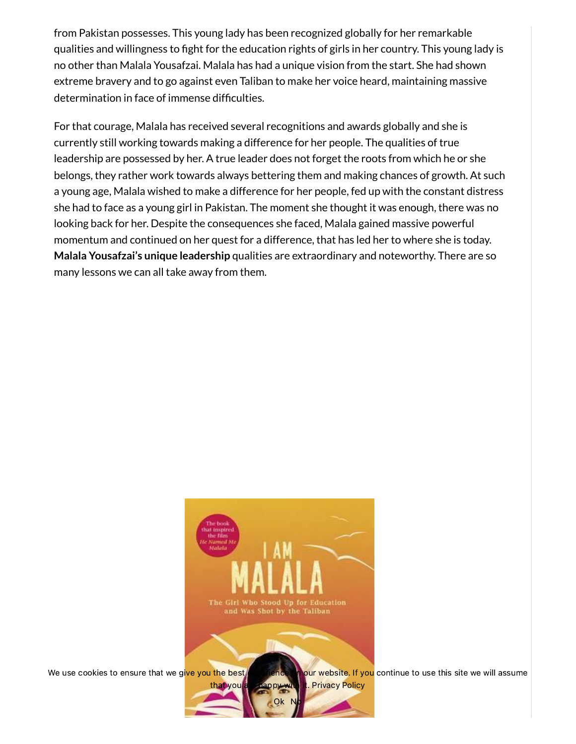from Pakistan possesses. This young lady has been recognized globally for her remarkable qualities and willingness to fight for the education rights of girls in her country. This young lady is no other than Malala Yousafzai. Malala has had a unique vision from the start. She had shown extreme bravery and to go against even Taliban to make her voice heard, maintaining massive [determination](https://vbchange.com/5-tips-to-stay-determined/) in face of immense difficulties.

For that courage, Malala has received several recognitions and awards globally and she is currently still working towards making a difference for her people. The qualities of true leadership are possessed by her. A true leader does not forget the roots from which he or she belongs, they rather work towards always bettering them and making chances of growth. At such a young age, Malala wished to make a difference for her people, fed up with the constant distress she had to face as a young girl in Pakistan. The moment she thought it was enough, there was no looking back for her. Despite the [consequences](https://vbchange.com/momentum/) she faced, Malala gained massive powerful momentum and continued on her quest for a difference, that has led her to where she is today. **Malala Yousafzai's unique leadership** qualities are extraordinary and noteworthy. There are so many lessons we can all take away from them.



We use cookies to ensure that we give you the best *[experience](https://amzn.to/3k09cCo)* on our website. If you continue to use this site we will assume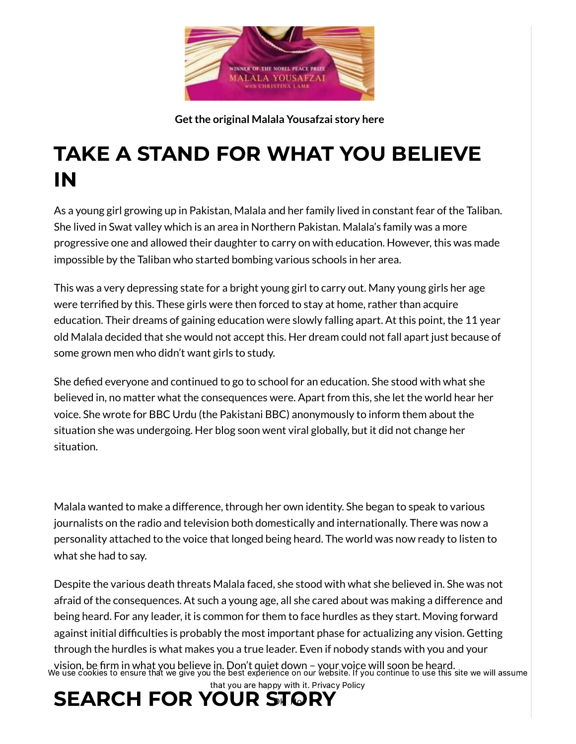

**Getthe original Malala [Yousafzai](https://amzn.to/3k09cCo) story here**

#### TAKE A STAND FOR WHAT YOU BELIEVE IN

As a young girl growing up in Pakistan, Malala and her family lived in constant fear of the Taliban. She lived in Swat valley which is an area in Northern Pakistan. Malala's family was a more progressive one and allowed their daughter to carry on with education. However, this was made impossible by the Taliban who started bombing various schools in her area.

This was a very depressing state for a bright young girl to carry out. Many young girls her age were terrified by this. These girls were then forced to stay at home, rather than acquire education. Their dreams of gaining education were slowly falling apart. At this point, the 11 year old Malala decided that she would not accept this. Her dream could not fall apart just because of some grown men who didn't want girls to study.

She defied everyone and continued to go to school for an education. She stood with what she believed in, no matter what the consequences were. Apart from this, she let the world hear her voice. She wrote for BBC Urdu (the Pakistani BBC) anonymously to inform them about the situation she was undergoing. Her blog soon went viral globally, but it did not change her situation.

Malala wanted to make a difference, through her own identity. She began to speak to various journalists on the radio and television both domestically and internationally. There was now a personality attached to the voice that longed being heard. The world was now ready to listen to what she had to say.

Despite the various death threats Malala faced, she stood with what she believed in. She was not afraid of the consequences. At such a young age, all she cared about was making a difference and being heard. For any leader, it is common for them to face hurdles as they start. Moving forward against initial difficulties is probably the most important phase for actualizing any vision. Getting through the hurdles is what makes you a true leader. Even if nobody stands with you and your vision, be firm in what you believe in. Don't quiet down – your voice will soon be heard. We use cookies to ensure that we give you the best experience on our website. If you continue to use this site we will assume that you are happy with it. [Privacy](https://vbchange.com/privacy-policy/) Policy

### SEARCH FOR YOUR STORY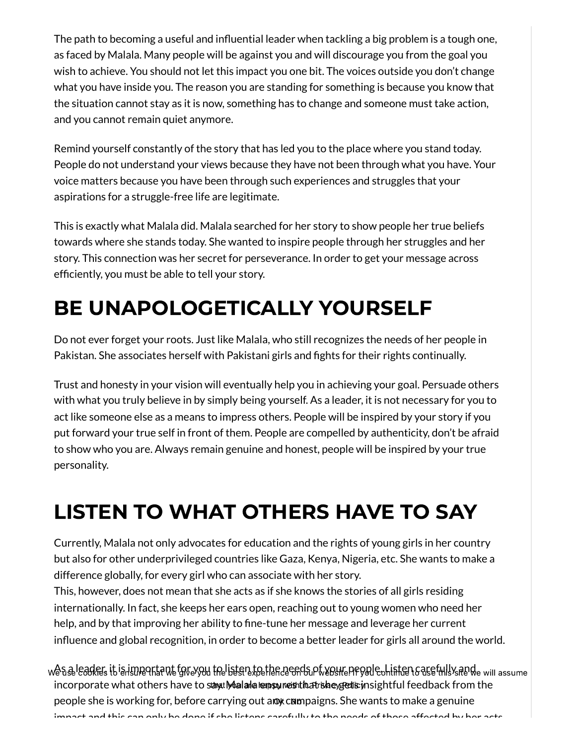The path to becoming a useful and influential leader when tackling a big problem is a tough one, as faced by Malala. Many people will be against you and will discourage you from the goal you wish to achieve. You should not let this impact you one bit. The voices outside you don't change what you have inside you. The reason you are standing for something is because you know that the situation cannot stay as it is now, something has to change and someone must take action, and you cannot remain quiet anymore.

Remind yourself constantly of the story that has led you to the place where you stand today. People do not understand your views because they have not been through what you have. Your voice matters because you have been through such experiences and struggles that your aspirations for a struggle-free life are legitimate.

This is exactly what Malala did. Malala searched for her story to show people her true beliefs towards where she stands today. She wanted to inspire people through her struggles and her story. This connection was her secret for [perseverance.](https://vbchange.com/secret-for-perseverance/) In order to get your message across efficiently, you must be able to tell your story.

## BE UNAPOLOGETICALLY YOURSELF

Do not ever forget your roots. Just like Malala, who still recognizes the needs of her people in Pakistan. She associates herself with Pakistani girls and fights for their rights continually.

Trust and honesty in your vision will eventually help you in achieving your goal. Persuade others with what you truly believe in by simply being yourself. As a leader, it is not necessary for you to act like someone else as a means to impress others. People will be inspired by your story if you put forward your true self in front of them. People are compelled by authenticity, don't be afraid to show who you are. Always remain genuine and honest, people will be inspired by your true personality.

## LISTEN TO WHAT OTHERS HAVE TO SAY

Currently, Malala not only advocates for education and the rights of young girls in her country but also for other underprivileged countries like Gaza, Kenya, Nigeria, etc. She wants to make a difference globally, for every girl who can associate with her story.

This, however, does not mean that she acts as if she knows the stories of all girls residing internationally. In fact, she keeps her ears open, reaching out to young women who need her help, and by that improving her ability to fine-tune her message and leverage her current influence and global recognition, in order to become a better leader for girls all around the world.

we a seleaders it is important for you the isten to the needs of your people on inten carefully and will assume incorporate what others have to sthat Malala ensures that she get is insightful feedback from the people she is working for, before carrying out an we mangigns. She wants to make a genuine impact and this can only be done if she listens carefully to the needs of those affected by her acts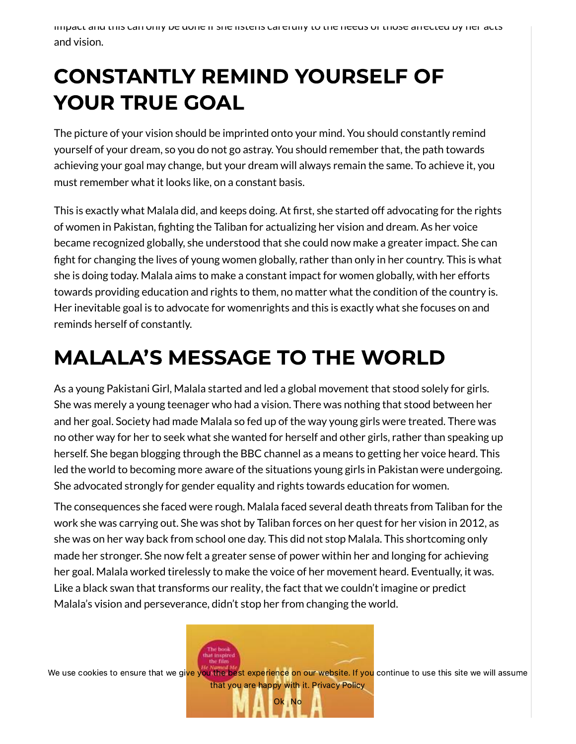impact and this can only be done if she listens carefully to the needs of those affected by her acts and vision.

### CONSTANTLY REMIND YOURSELF OF YOUR TRUE GOAL

The picture of your vision should be imprinted onto your mind. You should constantly remind yourself of your dream, so you do not go astray. You should remember that, the path towards achieving your goal may change, but your dream will always remain the same. To achieve it, you must remember what it looks like, on a constant basis.

This is exactly what Malala did, and keeps doing. At first, she started off advocating for the rights of women in Pakistan, fighting the Taliban for actualizing her vision and dream. As her voice became recognized globally, she understood that she could now make a greater impact. She can fight for changing the lives of young women globally, rather than only in her country. This is what she is doing today. Malala aims to make a constant impact for women globally, with her efforts towards providing education and rights to them, no matter what the condition of the country is. Her inevitable goal is to advocate for womenrights and this is exactly what she focuses on and reminds herself of constantly.

#### MALALA'S MESSAGE TO THE WORLD

As a young Pakistani Girl, Malala started and led a global movement that stood solely for girls. She was merely a young teenager who had a vision. There was nothing that stood between her and her goal. Society had made Malala so fed up of the way young girls were treated. There was no other way for her to seek what she wanted for herself and other girls, rather than speaking up herself. She began blogging through the BBC channel as a means to getting her voice heard. This led the world to becoming more aware of the situations young girls in Pakistan were undergoing. She advocated strongly for gender equality and rights towards education for women.

The consequences she faced were rough. Malala faced several death threats from Taliban for the work she was carrying out. She was shot by Taliban forces on her quest for her vision in 2012, as she was on her way back from school one day. This did not stop Malala. This shortcoming only made her stronger. She now felt a greater sense of power within her and longing for achieving her goal. Malala worked tirelessly to make the voice of her movement heard. Eventually, it was. Like a black swan that [transforms](https://vbchange.com/black-swan-life-transformation/) our reality, the fact that we couldn't imagine or predict Malala's vision and perseverance, didn't stop her from changing the world.

We use cookies to ensure that we give you the best [experience](https://amzn.to/3k09cCo) on our website. If you continue to use this site we will assume that you are happy with it. [Privacy](https://vbchange.com/privacy-policy/) Policy

Ok No